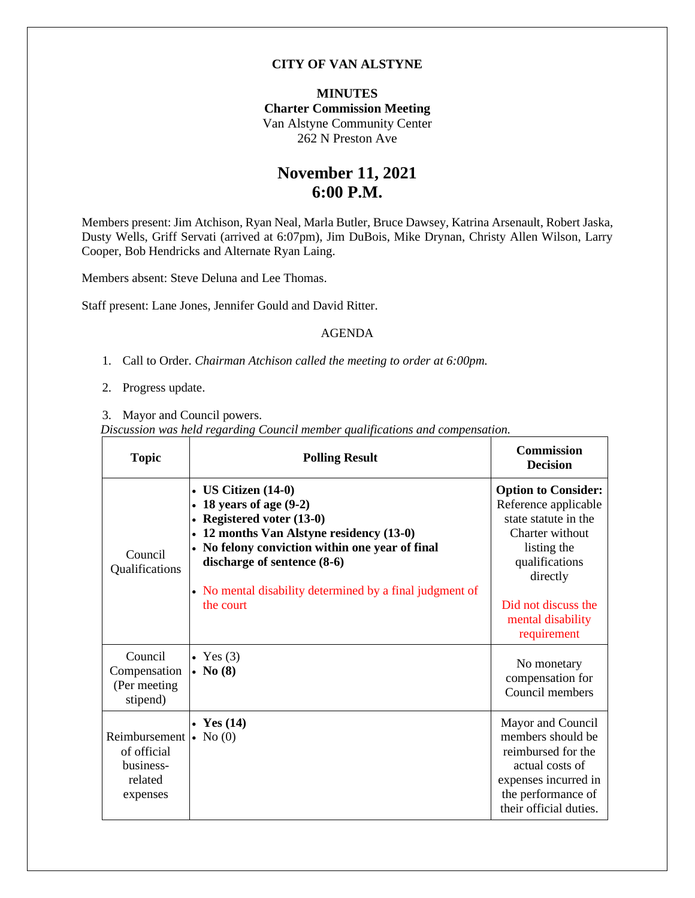## **CITY OF VAN ALSTYNE**

## **MINUTES Charter Commission Meeting** Van Alstyne Community Center 262 N Preston Ave

## **November 11, 2021 6:00 P.M.**

Members present: Jim Atchison, Ryan Neal, Marla Butler, Bruce Dawsey, Katrina Arsenault, Robert Jaska, Dusty Wells, Griff Servati (arrived at 6:07pm), Jim DuBois, Mike Drynan, Christy Allen Wilson, Larry Cooper, Bob Hendricks and Alternate Ryan Laing.

Members absent: Steve Deluna and Lee Thomas.

Staff present: Lane Jones, Jennifer Gould and David Ritter.

## AGENDA

- 1. Call to Order. *Chairman Atchison called the meeting to order at 6:00pm.*
- 2. Progress update.

3. Mayor and Council powers.

 *Discussion was held regarding Council member qualifications and compensation.* 

| <b>Topic</b>                                                                    | <b>Polling Result</b>                                                                                                                                                                                                                                                                             | <b>Commission</b><br><b>Decision</b>                                                                                                                                                                  |
|---------------------------------------------------------------------------------|---------------------------------------------------------------------------------------------------------------------------------------------------------------------------------------------------------------------------------------------------------------------------------------------------|-------------------------------------------------------------------------------------------------------------------------------------------------------------------------------------------------------|
| Council<br>Qualifications                                                       | $\bullet$ US Citizen (14-0)<br>18 years of age $(9-2)$<br>Registered voter (13-0)<br>12 months Van Alstyne residency (13-0)<br>$\bullet$<br>No felony conviction within one year of final<br>discharge of sentence (8-6)<br>• No mental disability determined by a final judgment of<br>the court | <b>Option to Consider:</b><br>Reference applicable<br>state statute in the<br>Charter without<br>listing the<br>qualifications<br>directly<br>Did not discuss the<br>mental disability<br>requirement |
| Council<br>Compensation<br>(Per meeting)<br>stipend)                            | • Yes $(3)$<br>$\bullet$ No (8)                                                                                                                                                                                                                                                                   | No monetary<br>compensation for<br>Council members                                                                                                                                                    |
| Reimbursement $\cdot$ No (0)<br>of official<br>business-<br>related<br>expenses | • Yes $(14)$                                                                                                                                                                                                                                                                                      | Mayor and Council<br>members should be<br>reimbursed for the<br>actual costs of<br>expenses incurred in<br>the performance of<br>their official duties.                                               |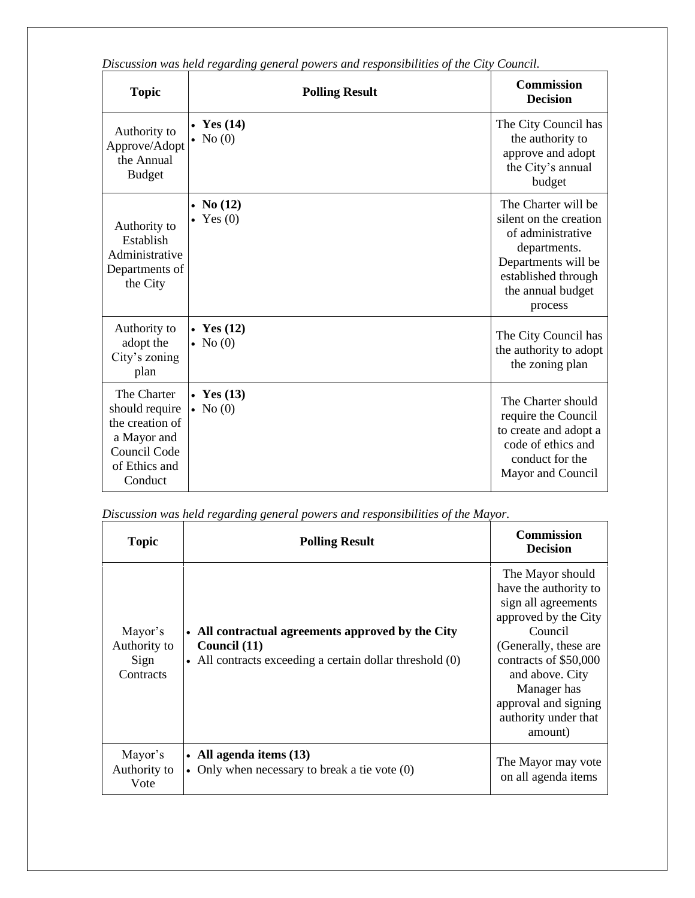| <b>Topic</b>                                                                                                | <b>Polling Result</b>              | <b>Commission</b><br><b>Decision</b>                                                                                                                             |
|-------------------------------------------------------------------------------------------------------------|------------------------------------|------------------------------------------------------------------------------------------------------------------------------------------------------------------|
| Authority to<br>Approve/Adopt<br>the Annual<br><b>Budget</b>                                                | • Yes $(14)$<br>$\bullet$ No (0)   | The City Council has<br>the authority to<br>approve and adopt<br>the City's annual<br>budget                                                                     |
| Authority to<br>Establish<br>Administrative<br>Departments of<br>the City                                   | No(12)<br>$\bullet$<br>• Yes $(0)$ | The Charter will be<br>silent on the creation<br>of administrative<br>departments.<br>Departments will be<br>established through<br>the annual budget<br>process |
| Authority to<br>adopt the<br>City's zoning<br>plan                                                          | • Yes $(12)$<br>$\bullet$ No (0)   | The City Council has<br>the authority to adopt<br>the zoning plan                                                                                                |
| The Charter<br>should require<br>the creation of<br>a Mayor and<br>Council Code<br>of Ethics and<br>Conduct | • Yes $(13)$<br>$\bullet$ No (0)   | The Charter should<br>require the Council<br>to create and adopt a<br>code of ethics and<br>conduct for the<br>Mayor and Council                                 |

*Discussion was held regarding general powers and responsibilities of the City Council.*

*Discussion was held regarding general powers and responsibilities of the Mayor.*

| <b>Topic</b>                                 | <b>Polling Result</b>                                                                                                         | <b>Commission</b><br><b>Decision</b>                                                                                                                                                                                                               |
|----------------------------------------------|-------------------------------------------------------------------------------------------------------------------------------|----------------------------------------------------------------------------------------------------------------------------------------------------------------------------------------------------------------------------------------------------|
| Mayor's<br>Authority to<br>Sign<br>Contracts | • All contractual agreements approved by the City<br>Council (11)<br>• All contracts exceeding a certain dollar threshold (0) | The Mayor should<br>have the authority to<br>sign all agreements<br>approved by the City<br>Council<br>(Generally, these are<br>contracts of \$50,000<br>and above. City<br>Manager has<br>approval and signing<br>authority under that<br>amount) |
| Mayor's<br>Authority to<br>Vote              | • All agenda items $(13)$<br>• Only when necessary to break a tie vote $(0)$                                                  | The Mayor may vote<br>on all agenda items                                                                                                                                                                                                          |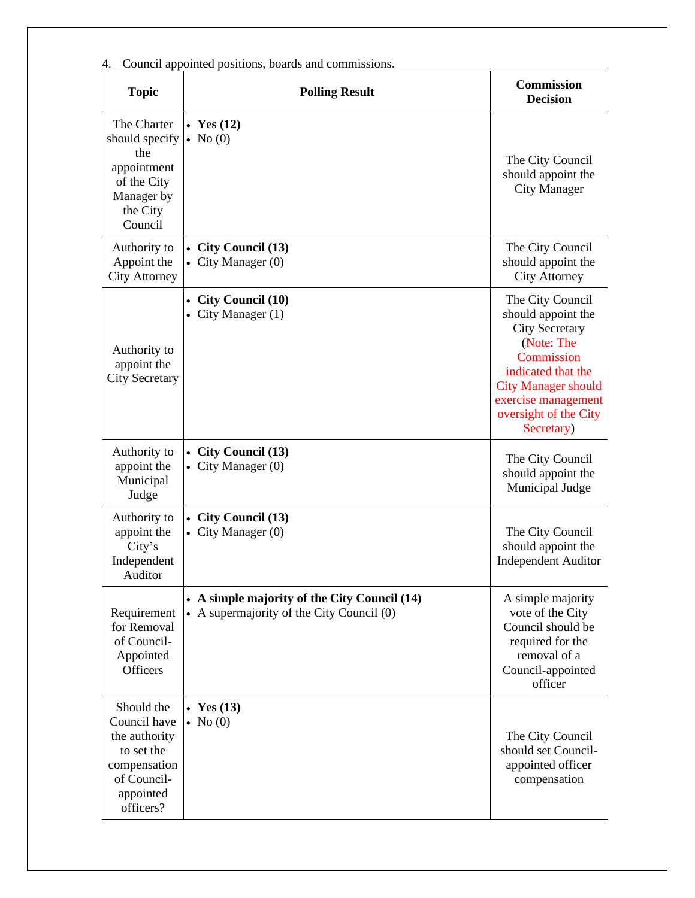| Council appointed positions, boards and commissions.<br>4.                                                         |                                                                                           |                                                                                                                                                                                                               |  |  |
|--------------------------------------------------------------------------------------------------------------------|-------------------------------------------------------------------------------------------|---------------------------------------------------------------------------------------------------------------------------------------------------------------------------------------------------------------|--|--|
| <b>Topic</b>                                                                                                       | <b>Polling Result</b>                                                                     | <b>Commission</b><br><b>Decision</b>                                                                                                                                                                          |  |  |
| The Charter<br>should specify<br>the<br>appointment<br>of the City<br>Manager by<br>the City<br>Council            | • Yes $(12)$<br>$\bullet$ No (0)                                                          | The City Council<br>should appoint the<br><b>City Manager</b>                                                                                                                                                 |  |  |
| Authority to<br>Appoint the<br><b>City Attorney</b>                                                                | • City Council (13)<br>• City Manager (0)                                                 | The City Council<br>should appoint the<br><b>City Attorney</b>                                                                                                                                                |  |  |
| Authority to<br>appoint the<br><b>City Secretary</b>                                                               | • City Council (10)<br>• City Manager $(1)$                                               | The City Council<br>should appoint the<br><b>City Secretary</b><br>(Note: The<br>Commission<br>indicated that the<br><b>City Manager should</b><br>exercise management<br>oversight of the City<br>Secretary) |  |  |
| Authority to<br>appoint the<br>Municipal<br>Judge                                                                  | • City Council (13)<br>• City Manager $(0)$                                               | The City Council<br>should appoint the<br>Municipal Judge                                                                                                                                                     |  |  |
| Authority to<br>appoint the<br>City's<br>Independent<br>Auditor                                                    | • City Council (13)<br>• City Manager (0)                                                 | The City Council<br>should appoint the<br><b>Independent Auditor</b>                                                                                                                                          |  |  |
| Requirement<br>for Removal<br>of Council-<br>Appointed<br>Officers                                                 | • A simple majority of the City Council (14)<br>• A supermajority of the City Council (0) | A simple majority<br>vote of the City<br>Council should be<br>required for the<br>removal of a<br>Council-appointed<br>officer                                                                                |  |  |
| Should the<br>Council have<br>the authority<br>to set the<br>compensation<br>of Council-<br>appointed<br>officers? | • Yes $(13)$<br>$\bullet$ No (0)                                                          | The City Council<br>should set Council-<br>appointed officer<br>compensation                                                                                                                                  |  |  |